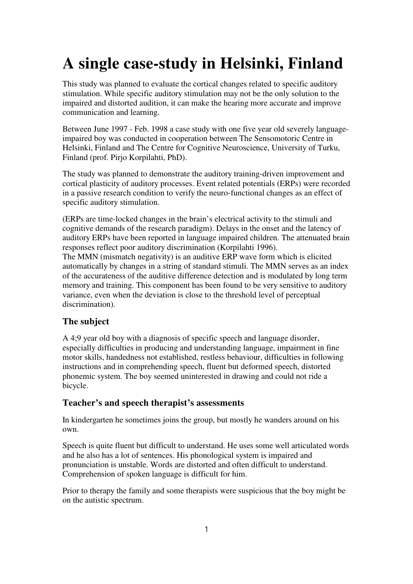# **A single case-study in Helsinki, Finland**

This study was planned to evaluate the cortical changes related to specific auditory stimulation. While specific auditory stimulation may not be the only solution to the impaired and distorted audition, it can make the hearing more accurate and improve communication and learning.

Between June 1997 - Feb. 1998 a case study with one five year old severely languageimpaired boy was conducted in cooperation between The Sensomotoric Centre in Helsinki, Finland and The Centre for Cognitive Neuroscience, University of Turku, Finland (prof. Pirjo Korpilahti, PhD).

The study was planned to demonstrate the auditory training-driven improvement and cortical plasticity of auditory processes. Event related potentials (ERPs) were recorded in a passive research condition to verify the neuro-functional changes as an effect of specific auditory stimulation.

(ERPs are time-locked changes in the brain's electrical activity to the stimuli and cognitive demands of the research paradigm). Delays in the onset and the latency of auditory ERPs have been reported in language impaired children. The attenuated brain responses reflect poor auditory discrimination (Korpilahti 1996).

The MMN (mismatch negativity) is an auditive ERP wave form which is elicited automatically by changes in a string of standard stimuli. The MMN serves as an index of the accurateness of the auditive difference detection and is modulated by long term memory and training. This component has been found to be very sensitive to auditory variance, even when the deviation is close to the threshold level of perceptual discrimination).

# **The subject**

A 4;9 year old boy with a diagnosis of specific speech and language disorder, especially difficulties in producing and understanding language, impairment in fine motor skills, handedness not established, restless behaviour, difficulties in following instructions and in comprehending speech, fluent but deformed speech, distorted phonemic system. The boy seemed uninterested in drawing and could not ride a bicycle.

## **Teacher's and speech therapist's assessments**

In kindergarten he sometimes joins the group, but mostly he wanders around on his own.

Speech is quite fluent but difficult to understand. He uses some well articulated words and he also has a lot of sentences. His phonological system is impaired and pronunciation is unstable. Words are distorted and often difficult to understand. Comprehension of spoken language is difficult for him.

Prior to therapy the family and some therapists were suspicious that the boy might be on the autistic spectrum.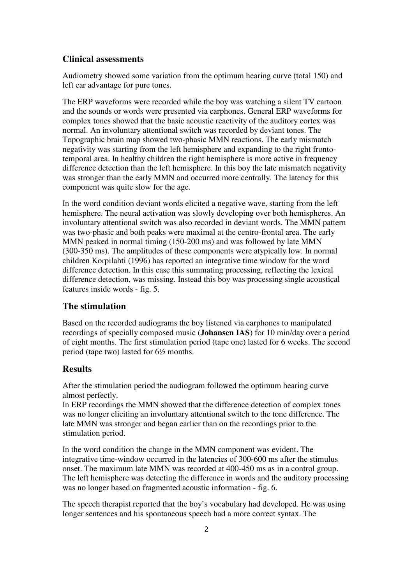#### **Clinical assessments**

Audiometry showed some variation from the optimum hearing curve (total 150) and left ear advantage for pure tones.

The ERP waveforms were recorded while the boy was watching a silent TV cartoon and the sounds or words were presented via earphones. General ERP waveforms for complex tones showed that the basic acoustic reactivity of the auditory cortex was normal. An involuntary attentional switch was recorded by deviant tones. The Topographic brain map showed two-phasic MMN reactions. The early mismatch negativity was starting from the left hemisphere and expanding to the right frontotemporal area. In healthy children the right hemisphere is more active in frequency difference detection than the left hemisphere. In this boy the late mismatch negativity was stronger than the early MMN and occurred more centrally. The latency for this component was quite slow for the age.

In the word condition deviant words elicited a negative wave, starting from the left hemisphere. The neural activation was slowly developing over both hemispheres. An involuntary attentional switch was also recorded in deviant words. The MMN pattern was two-phasic and both peaks were maximal at the centro-frontal area. The early MMN peaked in normal timing (150-200 ms) and was followed by late MMN (300-350 ms). The amplitudes of these components were atypically low. In normal children Korpilahti (1996) has reported an integrative time window for the word difference detection. In this case this summating processing, reflecting the lexical difference detection, was missing. Instead this boy was processing single acoustical features inside words - fig. 5.

#### **The stimulation**

Based on the recorded audiograms the boy listened via earphones to manipulated recordings of specially composed music (**Johansen IAS**) for 10 min/day over a period of eight months. The first stimulation period (tape one) lasted for 6 weeks. The second period (tape two) lasted for 6½ months.

#### **Results**

After the stimulation period the audiogram followed the optimum hearing curve almost perfectly.

In ERP recordings the MMN showed that the difference detection of complex tones was no longer eliciting an involuntary attentional switch to the tone difference. The late MMN was stronger and began earlier than on the recordings prior to the stimulation period.

In the word condition the change in the MMN component was evident. The integrative time-window occurred in the latencies of 300-600 ms after the stimulus onset. The maximum late MMN was recorded at 400-450 ms as in a control group. The left hemisphere was detecting the difference in words and the auditory processing was no longer based on fragmented acoustic information - fig. 6.

The speech therapist reported that the boy's vocabulary had developed. He was using longer sentences and his spontaneous speech had a more correct syntax. The